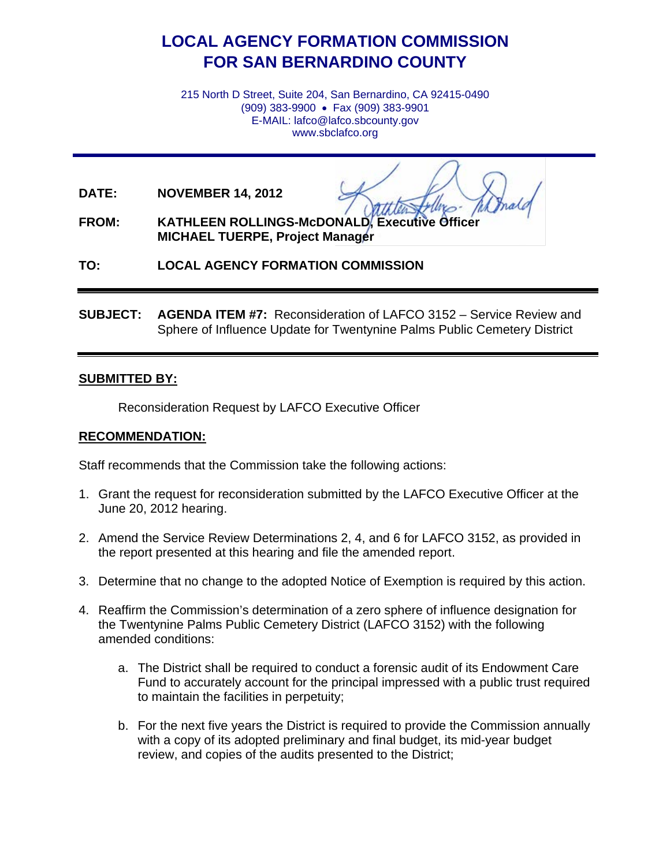# **LOCAL AGENCY FORMATION COMMISSION FOR SAN BERNARDINO COUNTY**

215 North D Street, Suite 204, San Bernardino, CA 92415-0490 (909) 383-9900 • Fax (909) 383-9901 E-MAIL: lafco@lafco.sbcounty.gov www.sbclafco.org

**DATE: NOVEMBER 14, 2012**

**FROM: KATHLEEN ROLLINGS-McDONALD, Executive MICHAEL TUERPE, Project Manager**

**TO: LOCAL AGENCY FORMATION COMMISSION**

**SUBJECT: AGENDA ITEM #7:** Reconsideration of LAFCO 3152 – Service Review and Sphere of Influence Update for Twentynine Palms Public Cemetery District

#### **SUBMITTED BY:**

Reconsideration Request by LAFCO Executive Officer

## **RECOMMENDATION:**

Staff recommends that the Commission take the following actions:

- 1. Grant the request for reconsideration submitted by the LAFCO Executive Officer at the June 20, 2012 hearing.
- 2. Amend the Service Review Determinations 2, 4, and 6 for LAFCO 3152, as provided in the report presented at this hearing and file the amended report.
- 3. Determine that no change to the adopted Notice of Exemption is required by this action.
- 4. Reaffirm the Commission's determination of a zero sphere of influence designation for the Twentynine Palms Public Cemetery District (LAFCO 3152) with the following amended conditions:
	- a. The District shall be required to conduct a forensic audit of its Endowment Care Fund to accurately account for the principal impressed with a public trust required to maintain the facilities in perpetuity;
	- b. For the next five years the District is required to provide the Commission annually with a copy of its adopted preliminary and final budget, its mid-year budget review, and copies of the audits presented to the District;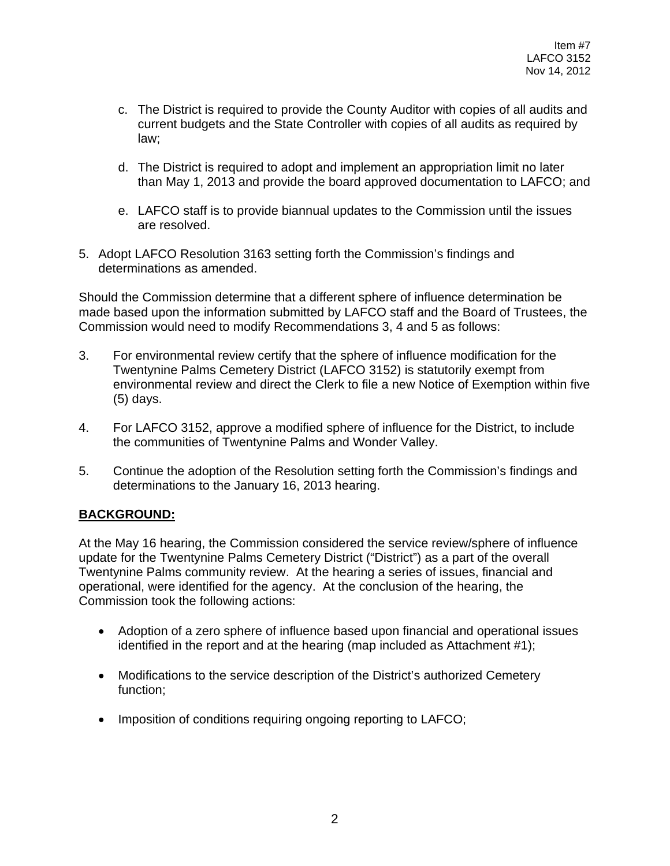- c. The District is required to provide the County Auditor with copies of all audits and current budgets and the State Controller with copies of all audits as required by law;
- d. The District is required to adopt and implement an appropriation limit no later than May 1, 2013 and provide the board approved documentation to LAFCO; and
- e. LAFCO staff is to provide biannual updates to the Commission until the issues are resolved.
- 5. Adopt LAFCO Resolution 3163 setting forth the Commission's findings and determinations as amended.

Should the Commission determine that a different sphere of influence determination be made based upon the information submitted by LAFCO staff and the Board of Trustees, the Commission would need to modify Recommendations 3, 4 and 5 as follows:

- 3. For environmental review certify that the sphere of influence modification for the Twentynine Palms Cemetery District (LAFCO 3152) is statutorily exempt from environmental review and direct the Clerk to file a new Notice of Exemption within five (5) days.
- 4. For LAFCO 3152, approve a modified sphere of influence for the District, to include the communities of Twentynine Palms and Wonder Valley.
- 5. Continue the adoption of the Resolution setting forth the Commission's findings and determinations to the January 16, 2013 hearing.

# **BACKGROUND:**

At the May 16 hearing, the Commission considered the service review/sphere of influence update for the Twentynine Palms Cemetery District ("District") as a part of the overall Twentynine Palms community review. At the hearing a series of issues, financial and operational, were identified for the agency. At the conclusion of the hearing, the Commission took the following actions:

- Adoption of a zero sphere of influence based upon financial and operational issues identified in the report and at the hearing (map included as Attachment #1);
- Modifications to the service description of the District's authorized Cemetery function;
- Imposition of conditions requiring ongoing reporting to LAFCO;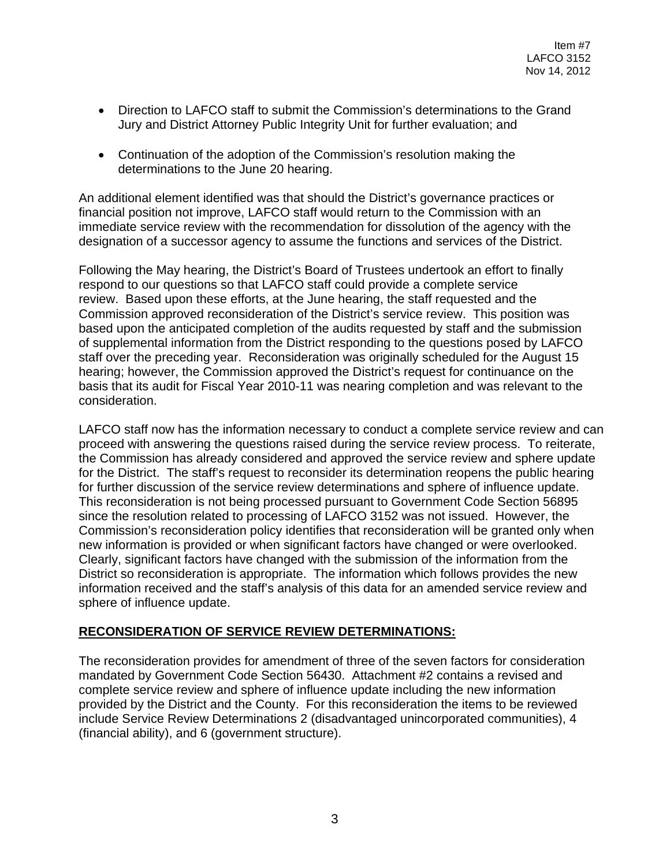- Direction to LAFCO staff to submit the Commission's determinations to the Grand Jury and District Attorney Public Integrity Unit for further evaluation; and
- Continuation of the adoption of the Commission's resolution making the determinations to the June 20 hearing.

An additional element identified was that should the District's governance practices or financial position not improve, LAFCO staff would return to the Commission with an immediate service review with the recommendation for dissolution of the agency with the designation of a successor agency to assume the functions and services of the District.

Following the May hearing, the District's Board of Trustees undertook an effort to finally respond to our questions so that LAFCO staff could provide a complete service review. Based upon these efforts, at the June hearing, the staff requested and the Commission approved reconsideration of the District's service review. This position was based upon the anticipated completion of the audits requested by staff and the submission of supplemental information from the District responding to the questions posed by LAFCO staff over the preceding year. Reconsideration was originally scheduled for the August 15 hearing; however, the Commission approved the District's request for continuance on the basis that its audit for Fiscal Year 2010-11 was nearing completion and was relevant to the consideration.

LAFCO staff now has the information necessary to conduct a complete service review and can proceed with answering the questions raised during the service review process. To reiterate, the Commission has already considered and approved the service review and sphere update for the District. The staff's request to reconsider its determination reopens the public hearing for further discussion of the service review determinations and sphere of influence update. This reconsideration is not being processed pursuant to Government Code Section 56895 since the resolution related to processing of LAFCO 3152 was not issued. However, the Commission's reconsideration policy identifies that reconsideration will be granted only when new information is provided or when significant factors have changed or were overlooked. Clearly, significant factors have changed with the submission of the information from the District so reconsideration is appropriate. The information which follows provides the new information received and the staff's analysis of this data for an amended service review and sphere of influence update.

#### **RECONSIDERATION OF SERVICE REVIEW DETERMINATIONS:**

The reconsideration provides for amendment of three of the seven factors for consideration mandated by Government Code Section 56430. Attachment #2 contains a revised and complete service review and sphere of influence update including the new information provided by the District and the County. For this reconsideration the items to be reviewed include Service Review Determinations 2 (disadvantaged unincorporated communities), 4 (financial ability), and 6 (government structure).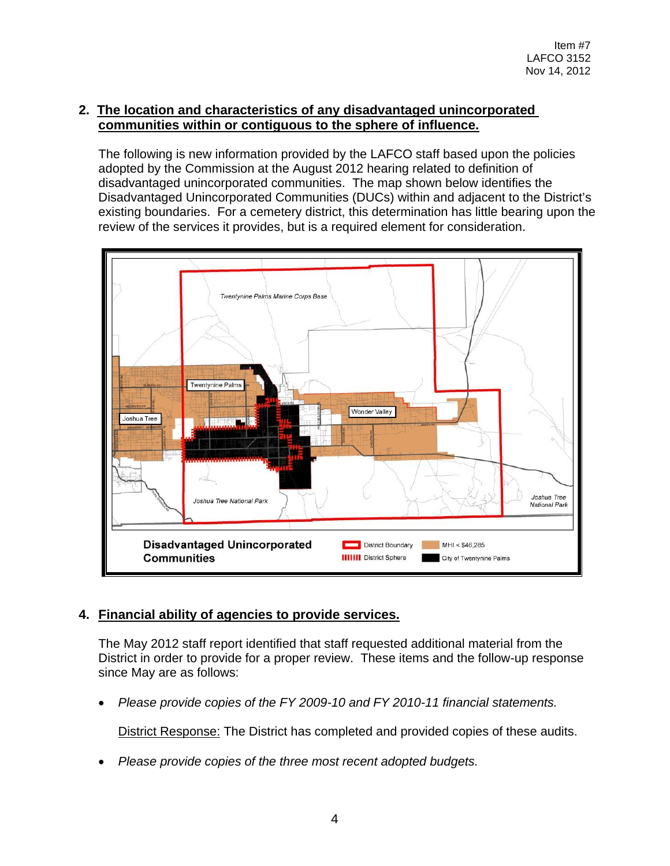# **2. The location and characteristics of any disadvantaged unincorporated communities within or contiguous to the sphere of influence.**

The following is new information provided by the LAFCO staff based upon the policies adopted by the Commission at the August 2012 hearing related to definition of disadvantaged unincorporated communities. The map shown below identifies the Disadvantaged Unincorporated Communities (DUCs) within and adjacent to the District's existing boundaries. For a cemetery district, this determination has little bearing upon the review of the services it provides, but is a required element for consideration.



# **4. Financial ability of agencies to provide services.**

The May 2012 staff report identified that staff requested additional material from the District in order to provide for a proper review. These items and the follow-up response since May are as follows:

• *Please provide copies of the FY 2009-10 and FY 2010-11 financial statements.*

District Response: The District has completed and provided copies of these audits.

• *Please provide copies of the three most recent adopted budgets.*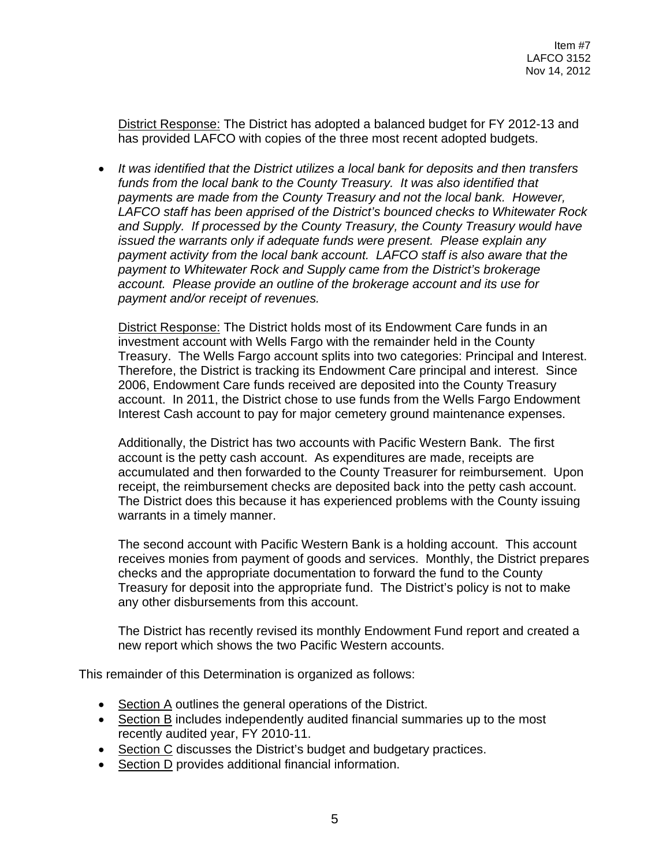District Response: The District has adopted a balanced budget for FY 2012-13 and has provided LAFCO with copies of the three most recent adopted budgets.

• *It was identified that the District utilizes a local bank for deposits and then transfers*  funds from the local bank to the County Treasury. It was also identified that *payments are made from the County Treasury and not the local bank. However, LAFCO staff has been apprised of the District's bounced checks to Whitewater Rock and Supply. If processed by the County Treasury, the County Treasury would have issued the warrants only if adequate funds were present. Please explain any payment activity from the local bank account. LAFCO staff is also aware that the payment to Whitewater Rock and Supply came from the District's brokerage account. Please provide an outline of the brokerage account and its use for payment and/or receipt of revenues.* 

District Response: The District holds most of its Endowment Care funds in an investment account with Wells Fargo with the remainder held in the County Treasury. The Wells Fargo account splits into two categories: Principal and Interest. Therefore, the District is tracking its Endowment Care principal and interest. Since 2006, Endowment Care funds received are deposited into the County Treasury account. In 2011, the District chose to use funds from the Wells Fargo Endowment Interest Cash account to pay for major cemetery ground maintenance expenses.

Additionally, the District has two accounts with Pacific Western Bank. The first account is the petty cash account. As expenditures are made, receipts are accumulated and then forwarded to the County Treasurer for reimbursement. Upon receipt, the reimbursement checks are deposited back into the petty cash account. The District does this because it has experienced problems with the County issuing warrants in a timely manner.

The second account with Pacific Western Bank is a holding account. This account receives monies from payment of goods and services. Monthly, the District prepares checks and the appropriate documentation to forward the fund to the County Treasury for deposit into the appropriate fund. The District's policy is not to make any other disbursements from this account.

The District has recently revised its monthly Endowment Fund report and created a new report which shows the two Pacific Western accounts.

This remainder of this Determination is organized as follows:

- Section A outlines the general operations of the District.
- Section B includes independently audited financial summaries up to the most recently audited year, FY 2010-11.
- Section C discusses the District's budget and budgetary practices.
- Section D provides additional financial information.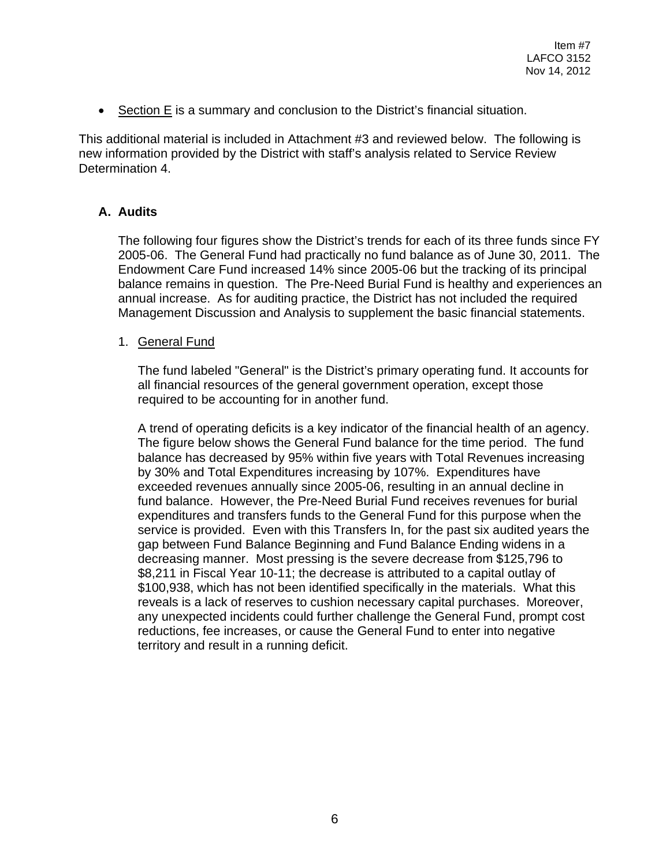• Section E is a summary and conclusion to the District's financial situation.

This additional material is included in Attachment #3 and reviewed below. The following is new information provided by the District with staff's analysis related to Service Review Determination 4.

## **A. Audits**

The following four figures show the District's trends for each of its three funds since FY 2005-06. The General Fund had practically no fund balance as of June 30, 2011. The Endowment Care Fund increased 14% since 2005-06 but the tracking of its principal balance remains in question. The Pre-Need Burial Fund is healthy and experiences an annual increase. As for auditing practice, the District has not included the required Management Discussion and Analysis to supplement the basic financial statements.

## 1. General Fund

The fund labeled "General" is the District's primary operating fund. It accounts for all financial resources of the general government operation, except those required to be accounting for in another fund.

A trend of operating deficits is a key indicator of the financial health of an agency. The figure below shows the General Fund balance for the time period. The fund balance has decreased by 95% within five years with Total Revenues increasing by 30% and Total Expenditures increasing by 107%. Expenditures have exceeded revenues annually since 2005-06, resulting in an annual decline in fund balance. However, the Pre-Need Burial Fund receives revenues for burial expenditures and transfers funds to the General Fund for this purpose when the service is provided. Even with this Transfers In, for the past six audited years the gap between Fund Balance Beginning and Fund Balance Ending widens in a decreasing manner. Most pressing is the severe decrease from \$125,796 to \$8,211 in Fiscal Year 10-11; the decrease is attributed to a capital outlay of \$100,938, which has not been identified specifically in the materials. What this reveals is a lack of reserves to cushion necessary capital purchases. Moreover, any unexpected incidents could further challenge the General Fund, prompt cost reductions, fee increases, or cause the General Fund to enter into negative territory and result in a running deficit.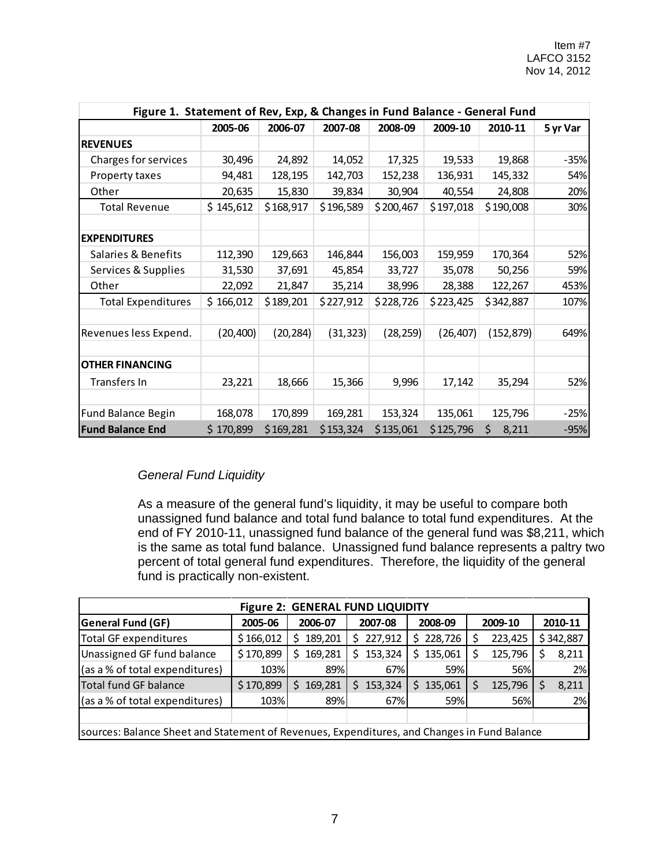| Figure 1. Statement of Rev, Exp, & Changes in Fund Balance - General Fund |           |           |           |           |           |             |          |  |  |
|---------------------------------------------------------------------------|-----------|-----------|-----------|-----------|-----------|-------------|----------|--|--|
|                                                                           | 2005-06   | 2006-07   | 2007-08   | 2008-09   | 2009-10   | 2010-11     | 5 yr Var |  |  |
| <b>REVENUES</b>                                                           |           |           |           |           |           |             |          |  |  |
| Charges for services                                                      | 30,496    | 24,892    | 14,052    | 17,325    | 19,533    | 19,868      | $-35%$   |  |  |
| Property taxes                                                            | 94,481    | 128,195   | 142,703   | 152,238   | 136,931   | 145,332     | 54%      |  |  |
| Other                                                                     | 20,635    | 15,830    | 39,834    | 30,904    | 40,554    | 24,808      | 20%      |  |  |
| <b>Total Revenue</b>                                                      | \$145,612 | \$168,917 | \$196,589 | \$200,467 | \$197,018 | \$190,008   | 30%      |  |  |
| <b>EXPENDITURES</b>                                                       |           |           |           |           |           |             |          |  |  |
| Salaries & Benefits                                                       | 112,390   | 129,663   | 146,844   | 156,003   | 159,959   | 170,364     | 52%      |  |  |
| Services & Supplies                                                       | 31,530    | 37,691    | 45,854    | 33,727    | 35,078    | 50,256      | 59%      |  |  |
| Other                                                                     | 22,092    | 21,847    | 35,214    | 38,996    | 28,388    | 122,267     | 453%     |  |  |
| <b>Total Expenditures</b>                                                 | \$166,012 | \$189,201 | \$227,912 | \$228,726 | \$223,425 | \$342,887   | 107%     |  |  |
| Revenues less Expend.                                                     | (20, 400) | (20, 284) | (31, 323) | (28, 259) | (26, 407) | (152, 879)  | 649%     |  |  |
| <b>OTHER FINANCING</b>                                                    |           |           |           |           |           |             |          |  |  |
| Transfers In                                                              | 23,221    | 18,666    | 15,366    | 9,996     | 17,142    | 35,294      | 52%      |  |  |
|                                                                           |           |           |           |           |           |             |          |  |  |
| <b>Fund Balance Begin</b>                                                 | 168,078   | 170,899   | 169,281   | 153,324   | 135,061   | 125,796     | $-25%$   |  |  |
| <b>Fund Balance End</b>                                                   | \$170,899 | \$169,281 | \$153,324 | \$135,061 | \$125,796 | \$<br>8,211 | $-95%$   |  |  |

# *General Fund Liquidity*

As a measure of the general fund's liquidity, it may be useful to compare both unassigned fund balance and total fund balance to total fund expenditures. At the end of FY 2010-11, unassigned fund balance of the general fund was \$8,211, which is the same as total fund balance. Unassigned fund balance represents a paltry two percent of total general fund expenditures. Therefore, the liquidity of the general fund is practically non-existent.

| <b>Figure 2: GENERAL FUND LIQUIDITY</b>                                                     |           |               |               |               |              |           |  |  |  |
|---------------------------------------------------------------------------------------------|-----------|---------------|---------------|---------------|--------------|-----------|--|--|--|
| <b>General Fund (GF)</b>                                                                    | 2005-06   | 2006-07       | 2007-08       | 2008-09       | 2009-10      | 2010-11   |  |  |  |
| <b>Total GF expenditures</b>                                                                | \$166,012 | 189,201       | 227,912<br>S. | 228,726<br>Ś  | 223,425      | \$342,887 |  |  |  |
| Unassigned GF fund balance                                                                  | \$170,899 | 169,281<br>S. | 153,324<br>S  | 135,061<br>Ś  | 125,796<br>S | 8,211     |  |  |  |
| (as a % of total expenditures)                                                              | 103%      | 89%           | 67%           | 59%           | 56%          | 2%        |  |  |  |
| Total fund GF balance                                                                       | \$170,899 | 169,281<br>S. | 153,324<br>S  | 135,061<br>Ś. | 125,796      | 8,211     |  |  |  |
| (as a % of total expenditures)                                                              | 103%      | 89%           | 67%           | 59%           | 56%          | 2%        |  |  |  |
|                                                                                             |           |               |               |               |              |           |  |  |  |
| sources: Balance Sheet and Statement of Revenues, Expenditures, and Changes in Fund Balance |           |               |               |               |              |           |  |  |  |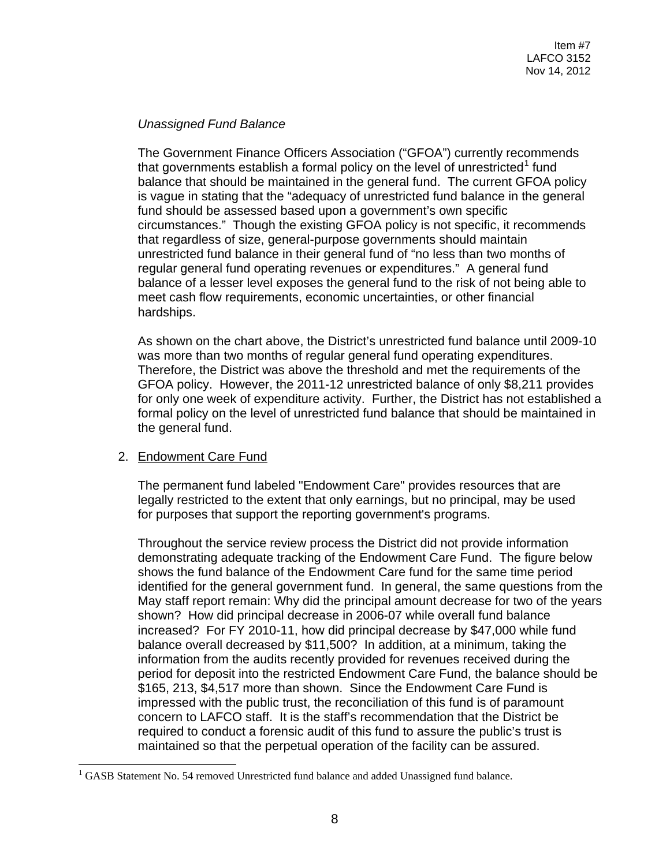## *Unassigned Fund Balance*

The Government Finance Officers Association ("GFOA") currently recommends that governments establish a formal policy on the level of unrestricted $<sup>1</sup>$  $<sup>1</sup>$  $<sup>1</sup>$  fund</sup> balance that should be maintained in the general fund. The current GFOA policy is vague in stating that the "adequacy of unrestricted fund balance in the general fund should be assessed based upon a government's own specific circumstances." Though the existing GFOA policy is not specific, it recommends that regardless of size, general-purpose governments should maintain unrestricted fund balance in their general fund of "no less than two months of regular general fund operating revenues or expenditures." A general fund balance of a lesser level exposes the general fund to the risk of not being able to meet cash flow requirements, economic uncertainties, or other financial hardships.

As shown on the chart above, the District's unrestricted fund balance until 2009-10 was more than two months of regular general fund operating expenditures. Therefore, the District was above the threshold and met the requirements of the GFOA policy. However, the 2011-12 unrestricted balance of only \$8,211 provides for only one week of expenditure activity. Further, the District has not established a formal policy on the level of unrestricted fund balance that should be maintained in the general fund.

# 2. Endowment Care Fund

The permanent fund labeled "Endowment Care" provides resources that are legally restricted to the extent that only earnings, but no principal, may be used for purposes that support the reporting government's programs.

Throughout the service review process the District did not provide information demonstrating adequate tracking of the Endowment Care Fund. The figure below shows the fund balance of the Endowment Care fund for the same time period identified for the general government fund. In general, the same questions from the May staff report remain: Why did the principal amount decrease for two of the years shown? How did principal decrease in 2006-07 while overall fund balance increased? For FY 2010-11, how did principal decrease by \$47,000 while fund balance overall decreased by \$11,500? In addition, at a minimum, taking the information from the audits recently provided for revenues received during the period for deposit into the restricted Endowment Care Fund, the balance should be \$165, 213, \$4,517 more than shown. Since the Endowment Care Fund is impressed with the public trust, the reconciliation of this fund is of paramount concern to LAFCO staff. It is the staff's recommendation that the District be required to conduct a forensic audit of this fund to assure the public's trust is maintained so that the perpetual operation of the facility can be assured.

<span id="page-7-0"></span> $<sup>1</sup> GASB$  Statement No. 54 removed Unrestricted fund balance and added Unassigned fund balance.</sup>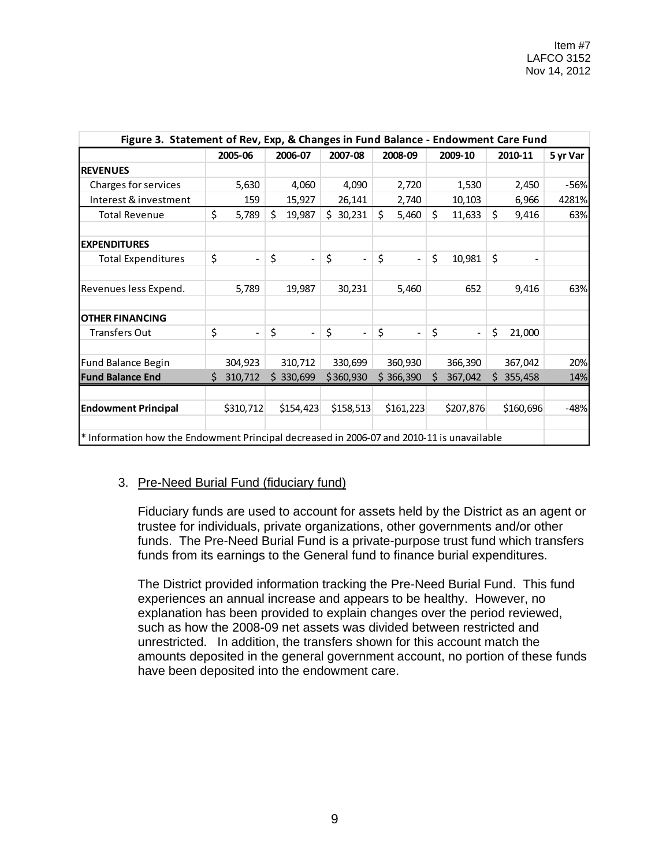| Figure 3. Statement of Rev, Exp, & Changes in Fund Balance - Endowment Care Fund          |    |                |    |              |    |                |    |                          |    |                          |    |           |          |
|-------------------------------------------------------------------------------------------|----|----------------|----|--------------|----|----------------|----|--------------------------|----|--------------------------|----|-----------|----------|
|                                                                                           |    | 2005-06        |    | 2006-07      |    | 2007-08        |    | 2008-09                  |    | 2009-10                  |    | 2010-11   | 5 yr Var |
| <b>REVENUES</b>                                                                           |    |                |    |              |    |                |    |                          |    |                          |    |           |          |
| Charges for services                                                                      |    | 5,630          |    | 4,060        |    | 4,090          |    | 2,720                    |    | 1,530                    |    | 2,450     | -56%     |
| Interest & investment                                                                     |    | 159            |    | 15,927       |    | 26,141         |    | 2,740                    |    | 10,103                   |    | 6,966     | 4281%    |
| <b>Total Revenue</b>                                                                      | \$ | 5,789          | \$ | 19,987       | Ś. | 30,231         | \$ | 5,460                    | \$ | 11,633                   | \$ | 9,416     | 63%      |
| <b>EXPENDITURES</b>                                                                       |    |                |    |              |    |                |    |                          |    |                          |    |           |          |
| <b>Total Expenditures</b>                                                                 | \$ | $\equiv$       | \$ | $\equiv$     | \$ | $\blacksquare$ | \$ | $\overline{\phantom{a}}$ | \$ | 10,981                   | \$ |           |          |
| Revenues less Expend.                                                                     |    | 5,789          |    | 19,987       |    | 30,231         |    | 5,460                    |    | 652                      |    | 9,416     | 63%      |
| <b>OTHER FINANCING</b>                                                                    |    |                |    |              |    |                |    |                          |    |                          |    |           |          |
| <b>Transfers Out</b>                                                                      | \$ | $\blacksquare$ | \$ | $\mathbf{r}$ | \$ | $\sim$         | \$ | $\blacksquare$           | \$ | $\overline{\phantom{a}}$ | \$ | 21,000    |          |
| Fund Balance Begin                                                                        |    | 304,923        |    | 310,712      |    | 330,699        |    | 360,930                  |    | 366,390                  |    | 367,042   | 20%      |
| <b>Fund Balance End</b>                                                                   | Ś. | 310,712        |    | \$330,699    |    | \$360,930      |    | \$366,390                | Ŝ. | 367,042                  | Ŝ. | 355,458   | 14%      |
|                                                                                           |    |                |    |              |    |                |    |                          |    |                          |    |           |          |
| <b>Endowment Principal</b>                                                                |    | \$310,712      |    | \$154,423    |    | \$158,513      |    | \$161,223                |    | \$207,876                |    | \$160,696 | $-48%$   |
|                                                                                           |    |                |    |              |    |                |    |                          |    |                          |    |           |          |
| * Information how the Endowment Principal decreased in 2006-07 and 2010-11 is unavailable |    |                |    |              |    |                |    |                          |    |                          |    |           |          |

#### 3. Pre-Need Burial Fund (fiduciary fund)

Fiduciary funds are used to account for assets held by the District as an agent or trustee for individuals, private organizations, other governments and/or other funds. The Pre-Need Burial Fund is a private-purpose trust fund which transfers funds from its earnings to the General fund to finance burial expenditures.

The District provided information tracking the Pre-Need Burial Fund. This fund experiences an annual increase and appears to be healthy. However, no explanation has been provided to explain changes over the period reviewed, such as how the 2008-09 net assets was divided between restricted and unrestricted. In addition, the transfers shown for this account match the amounts deposited in the general government account, no portion of these funds have been deposited into the endowment care.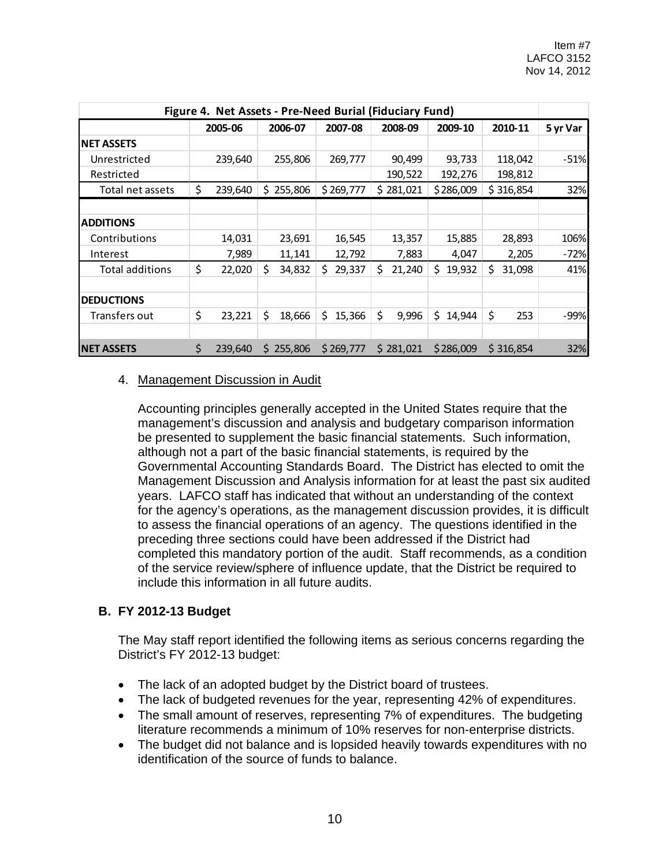| Figure 4. Net Assets - Pre-Need Burial (Fiduciary Fund) |    |         |    |           |     |           |              |              |    |           |          |
|---------------------------------------------------------|----|---------|----|-----------|-----|-----------|--------------|--------------|----|-----------|----------|
|                                                         |    | 2005-06 |    | 2006-07   |     | 2007-08   | 2008-09      | 2009-10      |    | 2010-11   | 5 yr Var |
| <b>NET ASSETS</b>                                       |    |         |    |           |     |           |              |              |    |           |          |
| Unrestricted                                            |    | 239,640 |    | 255,806   |     | 269,777   | 90,499       | 93,733       |    | 118,042   | $-51%$   |
| Restricted                                              |    |         |    |           |     |           | 190,522      | 192,276      |    | 198,812   |          |
| Total net assets                                        | \$ | 239,640 | S. | 255,806   |     | \$269,777 | \$281,021    | \$286,009    |    | \$316,854 | 32%      |
| <b>ADDITIONS</b>                                        |    |         |    |           |     |           |              |              |    |           |          |
| Contributions                                           |    | 14,031  |    | 23,691    |     | 16,545    | 13,357       | 15,885       |    | 28,893    | 106%     |
| Interest                                                |    | 7,989   |    | 11,141    |     | 12,792    | 7,883        | 4,047        |    | 2,205     | $-72%$   |
| Total additions                                         | \$ | 22,020  | \$ | 34,832    | \$. | 29,337    | \$<br>21,240 | \$<br>19,932 | \$ | 31,098    | 41%      |
| <b>DEDUCTIONS</b>                                       |    |         |    |           |     |           |              |              |    |           |          |
| Transfers out                                           | \$ | 23,221  | \$ | 18,666    | \$  | 15,366    | \$<br>9,996  | \$<br>14,944 | \$ | 253       | $-99%$   |
| <b>NET ASSETS</b>                                       | \$ | 239,640 |    | \$255,806 |     | \$269,777 | \$281,021    | \$286,009    |    | \$316,854 | 32%      |

#### 4. Management Discussion in Audit

Accounting principles generally accepted in the United States require that the management's discussion and analysis and budgetary comparison information be presented to supplement the basic financial statements. Such information, although not a part of the basic financial statements, is required by the Governmental Accounting Standards Board. The District has elected to omit the Management Discussion and Analysis information for at least the past six audited years. LAFCO staff has indicated that without an understanding of the context for the agency's operations, as the management discussion provides, it is difficult to assess the financial operations of an agency. The questions identified in the preceding three sections could have been addressed if the District had completed this mandatory portion of the audit. Staff recommends, as a condition of the service review/sphere of influence update, that the District be required to include this information in all future audits.

#### **B. FY 2012-13 Budget**

The May staff report identified the following items as serious concerns regarding the District's FY 2012-13 budget:

- The lack of an adopted budget by the District board of trustees.
- The lack of budgeted revenues for the year, representing 42% of expenditures.
- The small amount of reserves, representing 7% of expenditures. The budgeting literature recommends a minimum of 10% reserves for non-enterprise districts.
- The budget did not balance and is lopsided heavily towards expenditures with no identification of the source of funds to balance.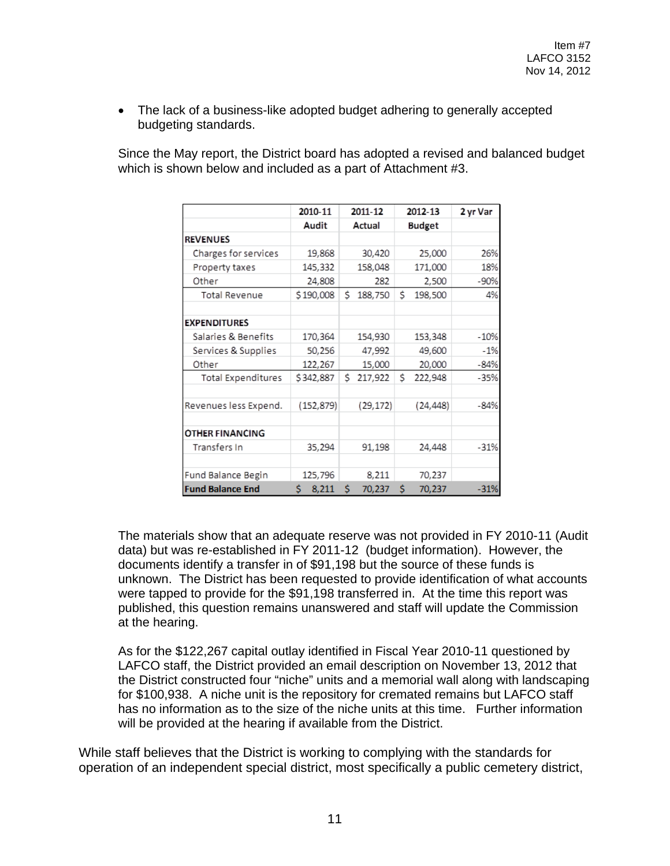• The lack of a business-like adopted budget adhering to generally accepted budgeting standards.

Since the May report, the District board has adopted a revised and balanced budget which is shown below and included as a part of Attachment #3.

|                           | 2010-11     | 2011-12       | 2012-13       | 2 yr Var |
|---------------------------|-------------|---------------|---------------|----------|
|                           | Audit       | Actual        | <b>Budget</b> |          |
| <b>REVENUES</b>           |             |               |               |          |
| Charges for services      | 19,868      | 30,420        | 25,000        | 26%      |
| Property taxes            | 145,332     | 158,048       | 171,000       | 18%      |
| Other                     | 24,808      | 282           | 2,500         | $-90%$   |
| <b>Total Revenue</b>      | \$190,008   | Ś.<br>188,750 | \$<br>198,500 | 4%       |
| <b>EXPENDITURES</b>       |             |               |               |          |
| Salaries & Benefits       | 170,364     | 154,930       | 153,348       | $-10%$   |
| Services & Supplies       | 50,256      | 47,992        | 49,600        | $-1%$    |
| Other                     | 122,267     | 15,000        | 20,000        | $-84%$   |
| <b>Total Expenditures</b> | \$342,887   | Ś.<br>217,922 | Ś<br>222,948  | $-35%$   |
| Revenues less Expend.     | (152, 879)  | (29, 172)     | (24, 448)     | $-84%$   |
| <b>OTHER FINANCING</b>    |             |               |               |          |
| Transfers In              | 35,294      | 91,198        | 24,448        | $-31%$   |
| Fund Balance Begin        | 125,796     | 8,211         | 70,237        |          |
| <b>Fund Balance End</b>   | Ś.<br>8,211 | Ś<br>70,237   | Ś<br>70,237   | $-31%$   |

The materials show that an adequate reserve was not provided in FY 2010-11 (Audit data) but was re-established in FY 2011-12 (budget information). However, the documents identify a transfer in of \$91,198 but the source of these funds is unknown. The District has been requested to provide identification of what accounts were tapped to provide for the \$91,198 transferred in. At the time this report was published, this question remains unanswered and staff will update the Commission at the hearing.

As for the \$122,267 capital outlay identified in Fiscal Year 2010-11 questioned by LAFCO staff, the District provided an email description on November 13, 2012 that the District constructed four "niche" units and a memorial wall along with landscaping for \$100,938. A niche unit is the repository for cremated remains but LAFCO staff has no information as to the size of the niche units at this time. Further information will be provided at the hearing if available from the District.

While staff believes that the District is working to complying with the standards for operation of an independent special district, most specifically a public cemetery district,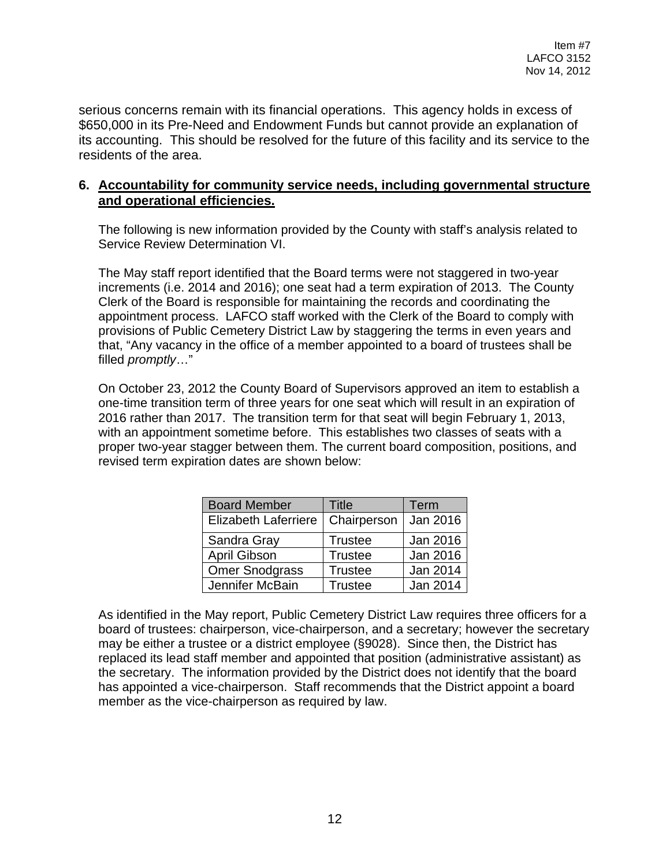serious concerns remain with its financial operations. This agency holds in excess of \$650,000 in its Pre-Need and Endowment Funds but cannot provide an explanation of its accounting. This should be resolved for the future of this facility and its service to the residents of the area.

## **6. Accountability for community service needs, including governmental structure and operational efficiencies.**

The following is new information provided by the County with staff's analysis related to Service Review Determination VI.

The May staff report identified that the Board terms were not staggered in two-year increments (i.e. 2014 and 2016); one seat had a term expiration of 2013. The County Clerk of the Board is responsible for maintaining the records and coordinating the appointment process. LAFCO staff worked with the Clerk of the Board to comply with provisions of Public Cemetery District Law by staggering the terms in even years and that, "Any vacancy in the office of a member appointed to a board of trustees shall be filled *promptly*…"

On October 23, 2012 the County Board of Supervisors approved an item to establish a one-time transition term of three years for one seat which will result in an expiration of 2016 rather than 2017. The transition term for that seat will begin February 1, 2013, with an appointment sometime before. This establishes two classes of seats with a proper two-year stagger between them. The current board composition, positions, and revised term expiration dates are shown below:

| <b>Board Member</b>         | Title          | Term     |
|-----------------------------|----------------|----------|
| <b>Elizabeth Laferriere</b> | Chairperson    | Jan 2016 |
| Sandra Gray                 | <b>Trustee</b> | Jan 2016 |
| <b>April Gibson</b>         | <b>Trustee</b> | Jan 2016 |
| <b>Omer Snodgrass</b>       | <b>Trustee</b> | Jan 2014 |
| Jennifer McBain             | <b>Trustee</b> | Jan 2014 |

As identified in the May report, Public Cemetery District Law requires three officers for a board of trustees: chairperson, vice-chairperson, and a secretary; however the secretary may be either a trustee or a district employee (§9028). Since then, the District has replaced its lead staff member and appointed that position (administrative assistant) as the secretary. The information provided by the District does not identify that the board has appointed a vice-chairperson. Staff recommends that the District appoint a board member as the vice-chairperson as required by law.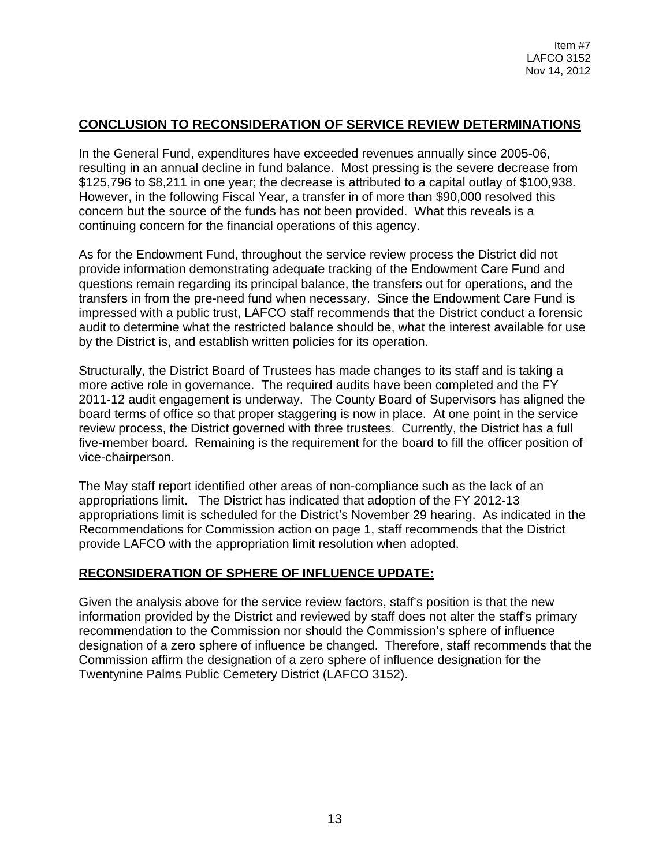# **CONCLUSION TO RECONSIDERATION OF SERVICE REVIEW DETERMINATIONS**

In the General Fund, expenditures have exceeded revenues annually since 2005-06, resulting in an annual decline in fund balance. Most pressing is the severe decrease from \$125,796 to \$8,211 in one year; the decrease is attributed to a capital outlay of \$100,938. However, in the following Fiscal Year, a transfer in of more than \$90,000 resolved this concern but the source of the funds has not been provided. What this reveals is a continuing concern for the financial operations of this agency.

As for the Endowment Fund, throughout the service review process the District did not provide information demonstrating adequate tracking of the Endowment Care Fund and questions remain regarding its principal balance, the transfers out for operations, and the transfers in from the pre-need fund when necessary. Since the Endowment Care Fund is impressed with a public trust, LAFCO staff recommends that the District conduct a forensic audit to determine what the restricted balance should be, what the interest available for use by the District is, and establish written policies for its operation.

Structurally, the District Board of Trustees has made changes to its staff and is taking a more active role in governance. The required audits have been completed and the FY 2011-12 audit engagement is underway. The County Board of Supervisors has aligned the board terms of office so that proper staggering is now in place. At one point in the service review process, the District governed with three trustees. Currently, the District has a full five-member board. Remaining is the requirement for the board to fill the officer position of vice-chairperson.

The May staff report identified other areas of non-compliance such as the lack of an appropriations limit. The District has indicated that adoption of the FY 2012-13 appropriations limit is scheduled for the District's November 29 hearing. As indicated in the Recommendations for Commission action on page 1, staff recommends that the District provide LAFCO with the appropriation limit resolution when adopted.

# **RECONSIDERATION OF SPHERE OF INFLUENCE UPDATE:**

Given the analysis above for the service review factors, staff's position is that the new information provided by the District and reviewed by staff does not alter the staff's primary recommendation to the Commission nor should the Commission's sphere of influence designation of a zero sphere of influence be changed. Therefore, staff recommends that the Commission affirm the designation of a zero sphere of influence designation for the Twentynine Palms Public Cemetery District (LAFCO 3152).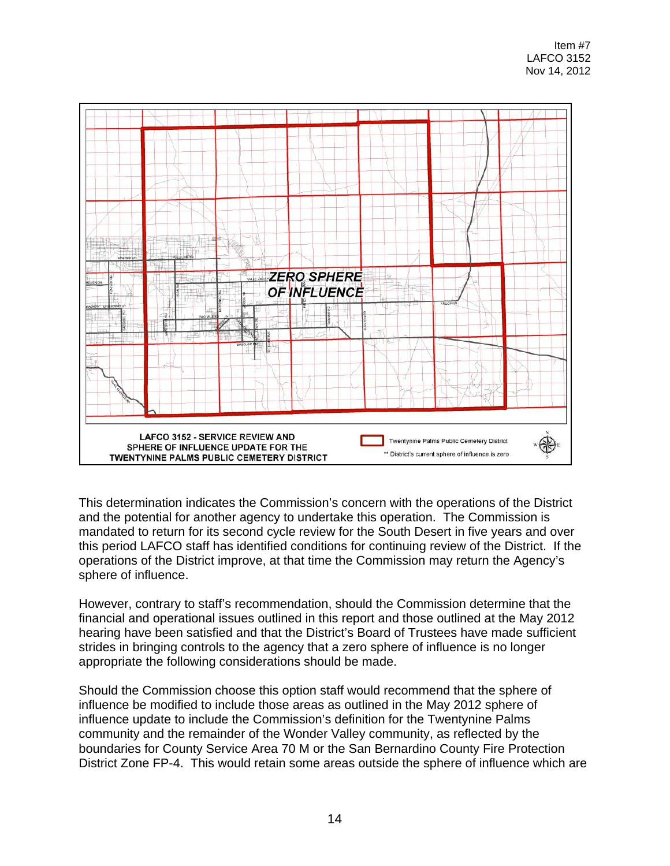

This determination indicates the Commission's concern with the operations of the District and the potential for another agency to undertake this operation. The Commission is mandated to return for its second cycle review for the South Desert in five years and over this period LAFCO staff has identified conditions for continuing review of the District. If the operations of the District improve, at that time the Commission may return the Agency's sphere of influence.

However, contrary to staff's recommendation, should the Commission determine that the financial and operational issues outlined in this report and those outlined at the May 2012 hearing have been satisfied and that the District's Board of Trustees have made sufficient strides in bringing controls to the agency that a zero sphere of influence is no longer appropriate the following considerations should be made.

Should the Commission choose this option staff would recommend that the sphere of influence be modified to include those areas as outlined in the May 2012 sphere of influence update to include the Commission's definition for the Twentynine Palms community and the remainder of the Wonder Valley community, as reflected by the boundaries for County Service Area 70 M or the San Bernardino County Fire Protection District Zone FP-4. This would retain some areas outside the sphere of influence which are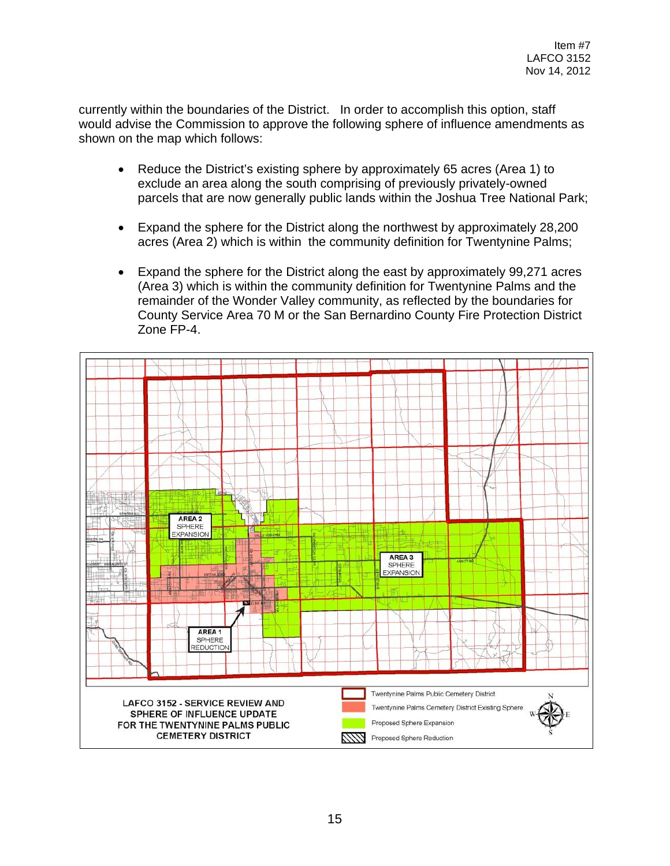currently within the boundaries of the District. In order to accomplish this option, staff would advise the Commission to approve the following sphere of influence amendments as shown on the map which follows:

- Reduce the District's existing sphere by approximately 65 acres (Area 1) to exclude an area along the south comprising of previously privately-owned parcels that are now generally public lands within the Joshua Tree National Park;
- Expand the sphere for the District along the northwest by approximately 28,200 acres (Area 2) which is within the community definition for Twentynine Palms;
- Expand the sphere for the District along the east by approximately 99,271 acres (Area 3) which is within the community definition for Twentynine Palms and the remainder of the Wonder Valley community, as reflected by the boundaries for County Service Area 70 M or the San Bernardino County Fire Protection District Zone FP-4.

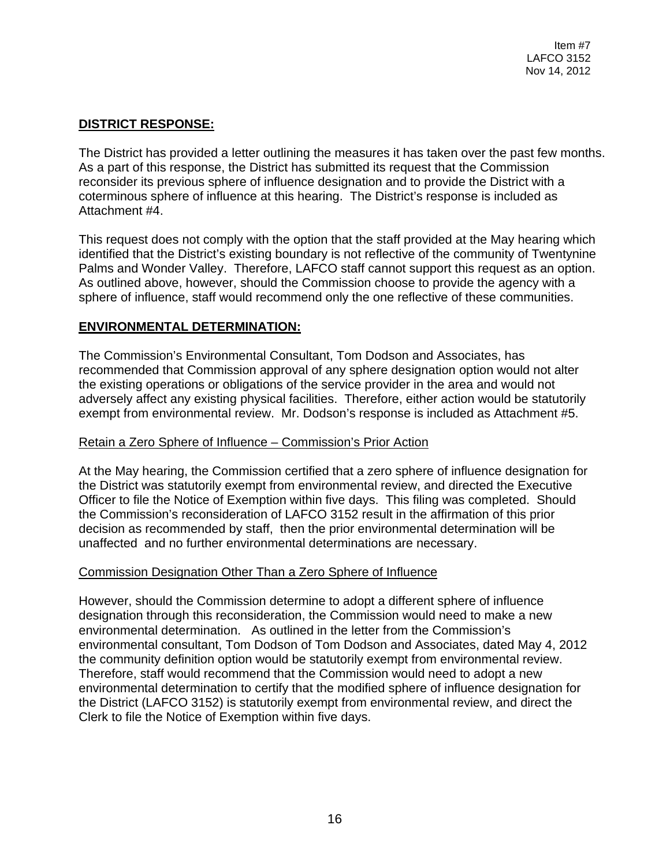## **DISTRICT RESPONSE:**

The District has provided a letter outlining the measures it has taken over the past few months. As a part of this response, the District has submitted its request that the Commission reconsider its previous sphere of influence designation and to provide the District with a coterminous sphere of influence at this hearing. The District's response is included as Attachment #4.

This request does not comply with the option that the staff provided at the May hearing which identified that the District's existing boundary is not reflective of the community of Twentynine Palms and Wonder Valley. Therefore, LAFCO staff cannot support this request as an option. As outlined above, however, should the Commission choose to provide the agency with a sphere of influence, staff would recommend only the one reflective of these communities.

## **ENVIRONMENTAL DETERMINATION:**

The Commission's Environmental Consultant, Tom Dodson and Associates, has recommended that Commission approval of any sphere designation option would not alter the existing operations or obligations of the service provider in the area and would not adversely affect any existing physical facilities. Therefore, either action would be statutorily exempt from environmental review. Mr. Dodson's response is included as Attachment #5.

#### Retain a Zero Sphere of Influence – Commission's Prior Action

At the May hearing, the Commission certified that a zero sphere of influence designation for the District was statutorily exempt from environmental review, and directed the Executive Officer to file the Notice of Exemption within five days. This filing was completed. Should the Commission's reconsideration of LAFCO 3152 result in the affirmation of this prior decision as recommended by staff, then the prior environmental determination will be unaffected and no further environmental determinations are necessary.

#### Commission Designation Other Than a Zero Sphere of Influence

However, should the Commission determine to adopt a different sphere of influence designation through this reconsideration, the Commission would need to make a new environmental determination. As outlined in the letter from the Commission's environmental consultant, Tom Dodson of Tom Dodson and Associates, dated May 4, 2012 the community definition option would be statutorily exempt from environmental review. Therefore, staff would recommend that the Commission would need to adopt a new environmental determination to certify that the modified sphere of influence designation for the District (LAFCO 3152) is statutorily exempt from environmental review, and direct the Clerk to file the Notice of Exemption within five days.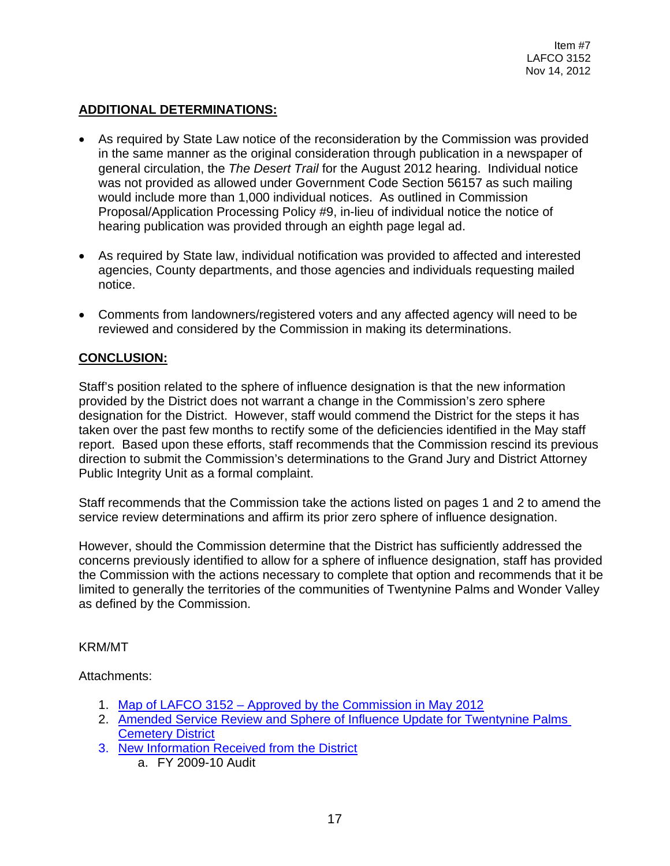## **ADDITIONAL DETERMINATIONS:**

- As required by State Law notice of the reconsideration by the Commission was provided in the same manner as the original consideration through publication in a newspaper of general circulation, the *The Desert Trail* for the August 2012 hearing. Individual notice was not provided as allowed under Government Code Section 56157 as such mailing would include more than 1,000 individual notices. As outlined in Commission Proposal/Application Processing Policy #9, in-lieu of individual notice the notice of hearing publication was provided through an eighth page legal ad.
- As required by State law, individual notification was provided to affected and interested agencies, County departments, and those agencies and individuals requesting mailed notice.
- Comments from landowners/registered voters and any affected agency will need to be reviewed and considered by the Commission in making its determinations.

# **CONCLUSION:**

Staff's position related to the sphere of influence designation is that the new information provided by the District does not warrant a change in the Commission's zero sphere designation for the District. However, staff would commend the District for the steps it has taken over the past few months to rectify some of the deficiencies identified in the May staff report. Based upon these efforts, staff recommends that the Commission rescind its previous direction to submit the Commission's determinations to the Grand Jury and District Attorney Public Integrity Unit as a formal complaint.

Staff recommends that the Commission take the actions listed on pages 1 and 2 to amend the service review determinations and affirm its prior zero sphere of influence designation.

However, should the Commission determine that the District has sufficiently addressed the concerns previously identified to allow for a sphere of influence designation, staff has provided the Commission with the actions necessary to complete that option and recommends that it be limited to generally the territories of the communities of Twentynine Palms and Wonder Valley as defined by the Commission.

#### KRM/MT

#### Attachments:

- 1. Map of LAFCO 3152 [Approved by the Commission in May 2012](http://www.sbcounty.gov/lafco/items/201211/Item_7_1.pdf)
- 2. Amended Service Review and Sphere of Influence Update for Twentynine Palms [Cemetery District](http://www.sbcounty.gov/lafco/items/201211/Item_7_2.pdf)
- 3. New [Information Received from the District](http://www.sbcounty.gov/lafco/items/201211/Item_7_3.pdf)
	- a. FY 2009-10 Audit